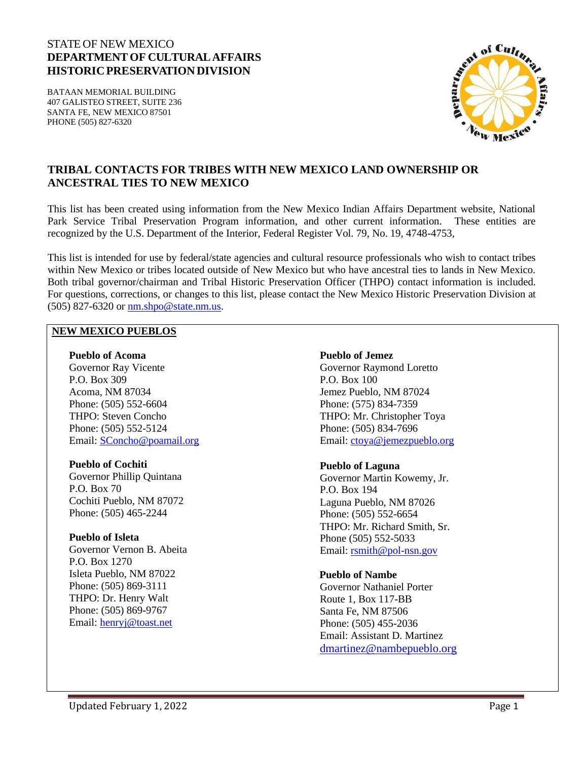# STATE OF NEW MEXICO **DEPARTMENT OF CULTURALAFFAIRS HISTORICPRESERVATIONDIVISION**

BATAAN MEMORIAL BUILDING 407 GALISTEO STREET, SUITE 236 SANTA FE, NEW MEXICO 87501 PHONE (505) 827-6320



# **TRIBAL CONTACTS FOR TRIBES WITH NEW MEXICO LAND OWNERSHIP OR ANCESTRAL TIES TO NEW MEXICO**

This list has been created using information from the New Mexico Indian Affairs Department website, National Park Service Tribal Preservation Program information, and other current information. These entities are recognized by the U.S. Department of the Interior, Federal Register Vol. 79, No. 19, 4748-4753,

This list is intended for use by federal/state agencies and cultural resource professionals who wish to contact tribes within New Mexico or tribes located outside of New Mexico but who have ancestral ties to lands in New Mexico. Both tribal governor/chairman and Tribal Historic Preservation Officer (THPO) contact information is included. For questions, corrections, or changes to this list, please contact the New Mexico Historic Preservation Division at (505) 827-6320 or [nm.shpo@state.nm.us.](mailto:nm.shpo@state.nm.us)

#### **NEW MEXICO PUEBLOS**

#### **Pueblo of Acoma**

Governor Ray Vicente P.O. Box 309 Acoma, NM 87034 Phone: (505) 552-6604 THPO: Steven Concho Phone: (505) 552-5124 Email: [SConcho@poamail.org](mailto:SConcho@poamail.org)

### **Pueblo of Cochiti**

Governor Phillip Quintana P.O. Box 70 Cochiti Pueblo, NM 87072 Phone: (505) 465-2244

### **Pueblo of Isleta**

Governor Vernon B. Abeita P.O. Box 1270 Isleta Pueblo, NM 87022 Phone: (505) 869-3111 THPO: Dr. Henry Walt Phone: (505) 869-9767 Email: [henryj@toast.net](mailto:henryj@toast.net)

#### **Pueblo of Jemez**

Governor Raymond Loretto P.O. Box 100 Jemez Pueblo, NM 87024 Phone: (575) 834-7359 THPO: Mr. Christopher Toya Phone: (505) 834-7696 Email: [ctoya@jemezpueblo.org](mailto:ctoya@jemezpueblo.org)

#### **Pueblo of Laguna**

Governor Martin Kowemy, Jr. P.O. Box 194 Laguna Pueblo, NM 87026 Phone: (505) 552-6654 THPO: Mr. Richard Smith, Sr. Phone (505) 552-5033 Email: [rsmith@pol-nsn.gov](mailto:rsmith@pol-nsn.gov)

### **Pueblo of Nambe**

Governor Nathaniel Porter Route 1, Box 117-BB Santa Fe, NM 87506 Phone: (505) 455-2036 Email: Assistant D. Martinez [dmartinez@nambepueblo.org](mailto:dmartinez@nambepueblo.org)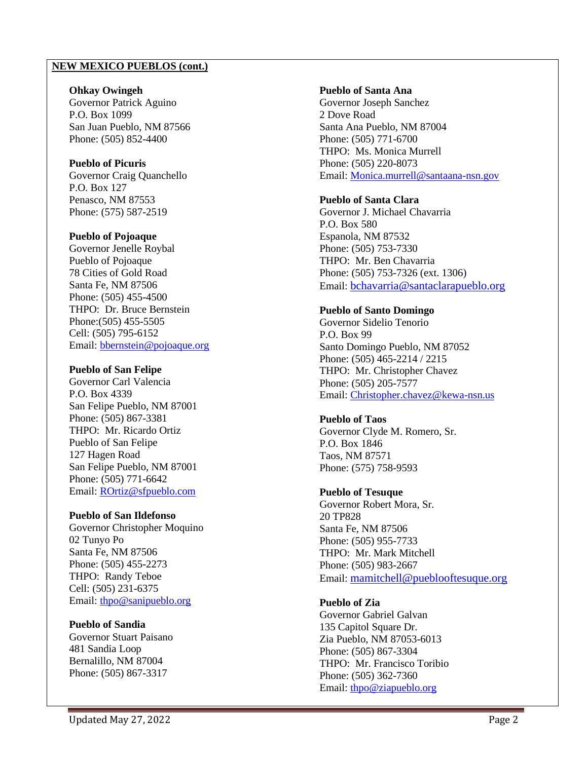### **NEW MEXICO PUEBLOS (cont.)**

### **Ohkay Owingeh**

Governor Patrick Aguino P.O. Box 1099 San Juan Pueblo, NM 87566 Phone: (505) 852-4400

## **Pueblo of Picuris**

Governor Craig Quanchello P.O. Box 127 Penasco, NM 87553 Phone: (575) 587-2519

### **Pueblo of Pojoaque**

Governor Jenelle Roybal Pueblo of Pojoaque 78 Cities of Gold Road Santa Fe, NM 87506 Phone: (505) 455-4500 THPO: Dr. Bruce Bernstein Phone:(505) 455-5505 Cell: (505) 795-6152 Email: [bbernstein@pojoaque.org](mailto:bbernstein@pojoaque.org)

### **Pueblo of San Felipe**

Governor Carl Valencia P.O. Box 4339 San Felipe Pueblo, NM 87001 Phone: (505) 867-3381 THPO: Mr. Ricardo Ortiz Pueblo of San Felipe 127 Hagen Road San Felipe Pueblo, NM 87001 Phone: (505) 771-6642 Email: [ROrtiz@sfpueblo.com](mailto:ROrtiz@sfpueblo.com)

## **Pueblo of San Ildefonso**

Governor Christopher Moquino 02 Tunyo Po Santa Fe, NM 87506 Phone: (505) 455-2273 THPO: Randy Teboe Cell: (505) 231-6375 Email: [thpo@sanipueblo.org](mailto:thpo@sanipueblo.org)

### **Pueblo of Sandia**

Governor Stuart Paisano 481 Sandia Loop Bernalillo, NM 87004 Phone: (505) 867-3317

### **Pueblo of Santa Ana**

Governor Joseph Sanchez 2 Dove Road Santa Ana Pueblo, NM 87004 Phone: (505) 771-6700 THPO: Ms. Monica Murrell Phone: (505) 220-8073 Email: [Monica.murrell@santaana-nsn.gov](mailto:Monica.murrell@santaana-nsn.gov)

## **Pueblo of Santa Clara**

Governor J. Michael Chavarria P.O. Box 580 Espanola, NM 87532 Phone: (505) 753-7330 THPO: Mr. Ben Chavarria Phone: (505) 753-7326 (ext. 1306) Email: bchavarria@santaclarapueblo.org

### **Pueblo of Santo Domingo**

Governor Sidelio Tenorio P.O. Box 99 Santo Domingo Pueblo, NM 87052 Phone: (505) 465-2214 / 2215 THPO: Mr. Christopher Chavez Phone: (505) 205-7577 Email: [Christopher.chavez@kewa-nsn.us](mailto:Christopher.chavez@kewa-nsn.us)

## **Pueblo of Taos**

Governor Clyde M. Romero, Sr. P.O. Box 1846 Taos, NM 87571 Phone: (575) 758-9593

## **Pueblo of Tesuque**

Governor Robert Mora, Sr. 20 TP828 Santa Fe, NM 87506 Phone: (505) 955-7733 THPO: Mr. Mark Mitchell Phone: (505) 983-2667 Email: mamitchell@pueblooftesuque.org

## **Pueblo of Zia**

Governor Gabriel Galvan 135 Capitol Square Dr. Zia Pueblo, NM 87053-6013 Phone: (505) 867-3304 THPO: Mr. Francisco Toribio Phone: (505) 362-7360 Email: [thpo@ziapueblo.org](mailto:thpo@ziapueblo.org)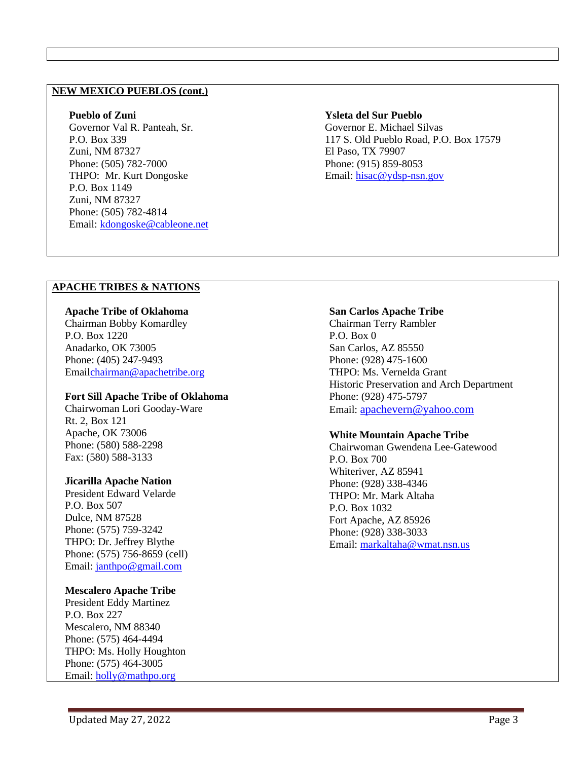### **NEW MEXICO PUEBLOS (cont.)**

#### **Pueblo of Zuni**

Governor Val R. Panteah, Sr. P.O. Box 339 Zuni, NM 87327 Phone: (505) 782-7000 THPO: Mr. Kurt Dongoske P.O. Box 1149 Zuni, NM 87327 Phone: (505) 782-4814 Email: [kdongoske@cableone.net](mailto:kdongoske@cableone.net)

#### **Ysleta del Sur Pueblo**

Governor E. Michael Silvas 117 S. Old Pueblo Road, P.O. Box 17579 El Paso, TX 79907 Phone: (915) 859-8053 Email: [hisac@ydsp-nsn.gov](mailto:hisac@ydsp-nsn.gov)

### **APACHE TRIBES & NATIONS**

**Apache Tribe of Oklahoma** Chairman Bobby Komardley P.O. Box 1220 Anadarko, OK 73005 Phone: (405) 247-9493 Emai[lchairman@apachetribe.org](mailto:chairman@apachetribe.org)

### **Fort Sill Apache Tribe of Oklahoma**

Chairwoman Lori Gooday-Ware Rt. 2, Box 121 Apache, OK 73006 Phone: (580) 588-2298 Fax: (580) 588-3133

### **Jicarilla Apache Nation**

President Edward Velarde P.O. Box 507 Dulce, NM 87528 Phone: (575) 759-3242 THPO: Dr. Jeffrey Blythe Phone: (575) 756-8659 (cell) Email: [janthpo@gmail.com](mailto:janthpo@gmail.com)

### **Mescalero Apache Tribe**

President Eddy Martinez P.O. Box 227 Mescalero, NM 88340 Phone: (575) 464-4494 THPO: Ms. Holly Houghton Phone: (575) 464-3005 Email: [holly@mathpo.org](mailto:holly@mathpo.org)

### **San Carlos Apache Tribe**

Chairman Terry Rambler P.O. Box 0 San Carlos, AZ 85550 Phone: (928) 475-1600 THPO: Ms. Vernelda Grant Historic Preservation and Arch Department Phone: (928) 475-5797 Email: [apachevern@yahoo.com](mailto:apachevern@yahoo.com)

### **White Mountain Apache Tribe**

Chairwoman Gwendena Lee-Gatewood P.O. Box 700 Whiteriver, AZ 85941 Phone: (928) 338-4346 THPO: Mr. Mark Altaha P.O. Box 1032 Fort Apache, AZ 85926 Phone: (928) 338-3033 Email: [markaltaha@wmat.nsn.us](mailto:markaltaha@wmat.nsn.us)